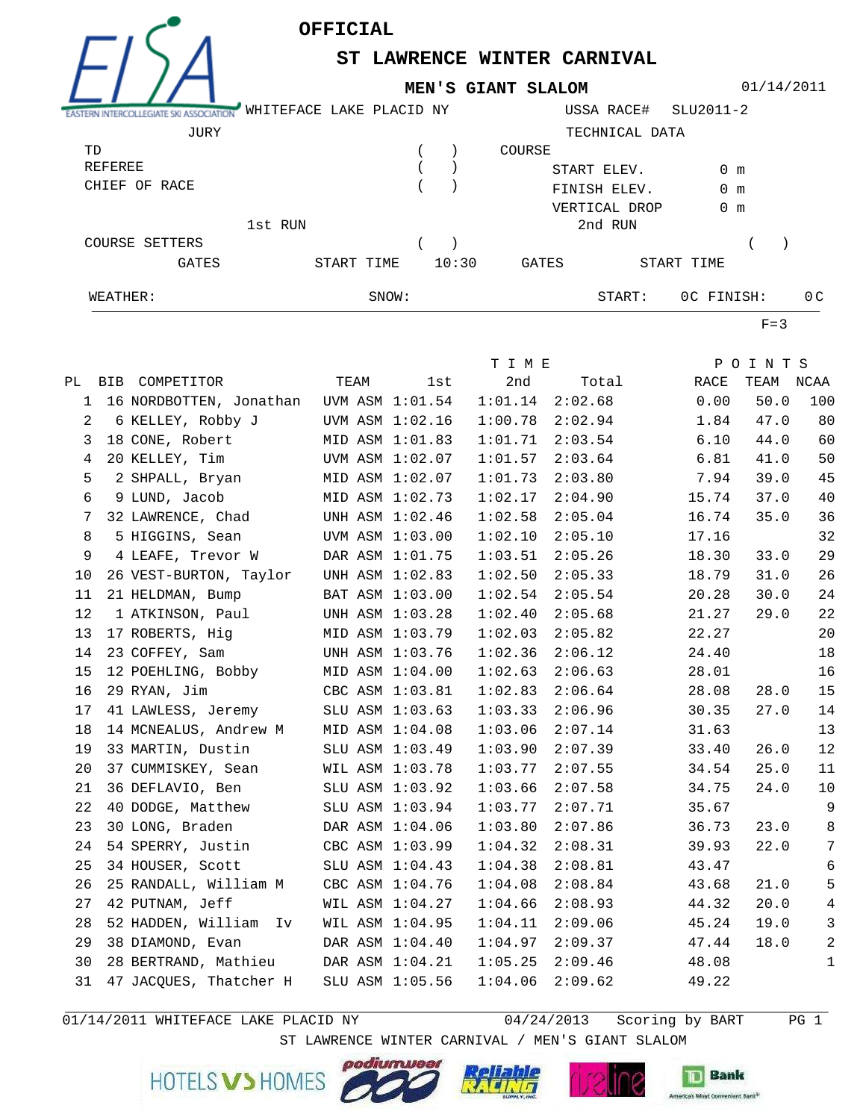

**ST LAWRENCE WINTER CARNIVAL** 

**MEN'S GIANT SLALOM**

01/14/2011

| ASTERN INTERCOLLEGIATE SKI ASSOCIATION | WHITEFACE LAKE PLACID NY |       |       |             | USSA RACE#     | SLU2011-2     |     |
|----------------------------------------|--------------------------|-------|-------|-------------|----------------|---------------|-----|
| JURY                                   |                          |       |       |             | TECHNICAL DATA |               |     |
| TD                                     |                          |       |       | COURSE      |                |               |     |
| REFEREE                                |                          |       |       | START ELEV. |                | 0 m           |     |
| CHIEF OF RACE                          |                          |       |       |             | FINISH ELEV.   | $0 \text{ m}$ |     |
|                                        |                          |       |       |             | VERTICAL DROP  | $0 \text{ m}$ |     |
|                                        | 1st RUN                  |       |       |             | 2nd RUN        |               |     |
| COURSE SETTERS                         |                          |       |       |             |                |               |     |
| GATES                                  | START TIME               |       | 10:30 | GATES       |                | START TIME    |     |
| WEATHER:                               |                          | SNOW: |       |             | START:         | OC FINISH:    | 0 C |

 $F=3$ 

|              |                        |                                         |                 | T I M E |         |       | POINTS    |                 |
|--------------|------------------------|-----------------------------------------|-----------------|---------|---------|-------|-----------|-----------------|
|              | PL BIB COMPETITOR      | TEAM                                    | lst             | 2nd     | Total   | RACE  | TEAM NCAA |                 |
| $\mathbf{1}$ |                        | 16 NORDBOTTEN, Jonathan UVM ASM 1:01.54 |                 | 1:01.14 | 2:02.68 | 0.00  | 50.0      | 100             |
| 2            | 6 KELLEY, Robby J      |                                         | UVM ASM 1:02.16 | 1:00.78 | 2:02.94 | 1.84  | 47.0      | 80              |
| 3            | 18 CONE, Robert        |                                         | MID ASM 1:01.83 | 1:01.71 | 2:03.54 | 6.10  | 44.0      | 60              |
| 4            | 20 KELLEY, Tim         |                                         | UVM ASM 1:02.07 | 1:01.57 | 2:03.64 | 6.81  | 41.0      | 50              |
| 5            | 2 SHPALL, Bryan        |                                         | MID ASM 1:02.07 | 1:01.73 | 2:03.80 | 7.94  | 39.0      | 45              |
| 6            | 9 LUND, Jacob          |                                         | MID ASM 1:02.73 | 1:02.17 | 2:04.90 | 15.74 | 37.0      | 40              |
| 7            | 32 LAWRENCE, Chad      |                                         | UNH ASM 1:02.46 | 1:02.58 | 2:05.04 | 16.74 | 35.0      | 36              |
| 8            | 5 HIGGINS, Sean        |                                         | UVM ASM 1:03.00 | 1:02.10 | 2:05.10 | 17.16 |           | 32              |
| 9            | 4 LEAFE, Trevor W      |                                         | DAR ASM 1:01.75 | 1:03.51 | 2:05.26 | 18.30 | 33.0      | 29              |
| 10           | 26 VEST-BURTON, Taylor |                                         | UNH ASM 1:02.83 | 1:02.50 | 2:05.33 | 18.79 | 31.0      | 26              |
| 11           | 21 HELDMAN, Bump       |                                         | BAT ASM 1:03.00 | 1:02.54 | 2:05.54 | 20.28 | 30.0      | 24              |
| 12           | 1 ATKINSON, Paul       |                                         | UNH ASM 1:03.28 | 1:02.40 | 2:05.68 | 21.27 | 29.0      | 22              |
| 13           | 17 ROBERTS, Hig        |                                         | MID ASM 1:03.79 | 1:02.03 | 2:05.82 | 22.27 |           | 20              |
| 14           | 23 COFFEY, Sam         |                                         | UNH ASM 1:03.76 | 1:02.36 | 2:06.12 | 24.40 |           | $18\,$          |
| 15           | 12 POEHLING, Bobby     |                                         | MID ASM 1:04.00 | 1:02.63 | 2:06.63 | 28.01 |           | 16              |
| 16           | 29 RYAN, Jim           |                                         | CBC ASM 1:03.81 | 1:02.83 | 2:06.64 | 28.08 | 28.0      | 15              |
| 17           | 41 LAWLESS, Jeremy     |                                         | SLU ASM 1:03.63 | 1:03.33 | 2:06.96 | 30.35 | 27.0      | 14              |
| 18           | 14 MCNEALUS, Andrew M  |                                         | MID ASM 1:04.08 | 1:03.06 | 2:07.14 | 31.63 |           | 13              |
| 19           | 33 MARTIN, Dustin      |                                         | SLU ASM 1:03.49 | 1:03.90 | 2:07.39 | 33.40 | 26.0      | 12              |
| 20           | 37 CUMMISKEY, Sean     |                                         | WIL ASM 1:03.78 | 1:03.77 | 2:07.55 | 34.54 | 25.0      | 11              |
| 21           | 36 DEFLAVIO, Ben       |                                         | SLU ASM 1:03.92 | 1:03.66 | 2:07.58 | 34.75 | 24.0      | 10              |
| 22           | 40 DODGE, Matthew      |                                         | SLU ASM 1:03.94 | 1:03.77 | 2:07.71 | 35.67 |           | 9               |
| 23           | 30 LONG, Braden        |                                         | DAR ASM 1:04.06 | 1:03.80 | 2:07.86 | 36.73 | 23.0      | $\,8\,$         |
| 24           | 54 SPERRY, Justin      |                                         | CBC ASM 1:03.99 | 1:04.32 | 2:08.31 | 39.93 | 22.0      | $7\phantom{.0}$ |
| 25           | 34 HOUSER, Scott       |                                         | SLU ASM 1:04.43 | 1:04.38 | 2:08.81 | 43.47 |           | 6               |
| 26           | 25 RANDALL, William M  |                                         | CBC ASM 1:04.76 | 1:04.08 | 2:08.84 | 43.68 | 21.0      | 5               |
| 27           | 42 PUTNAM, Jeff        |                                         | WIL ASM 1:04.27 | 1:04.66 | 2:08.93 | 44.32 | 20.0      | $\overline{4}$  |
| 28           | 52 HADDEN, William Iv  |                                         | WIL ASM 1:04.95 | 1:04.11 | 2:09.06 | 45.24 | 19.0      | $\mathfrak{Z}$  |
| 29           | 38 DIAMOND, Evan       |                                         | DAR ASM 1:04.40 | 1:04.97 | 2:09.37 | 47.44 | 18.0      | 2               |
| 30           | 28 BERTRAND, Mathieu   |                                         | DAR ASM 1:04.21 | 1:05.25 | 2:09.46 | 48.08 |           | 1               |
| 31           | 47 JACQUES, Thatcher H |                                         | SLU ASM 1:05.56 | 1:04.06 | 2:09.62 | 49.22 |           |                 |

01/14/2011 WHITEFACE LAKE PLACID NY  $04/24/2013$  Scoring by BART PG 1

**Bank** 

ST LAWRENCE WINTER CARNIVAL / MEN'S GIANT SLALOM